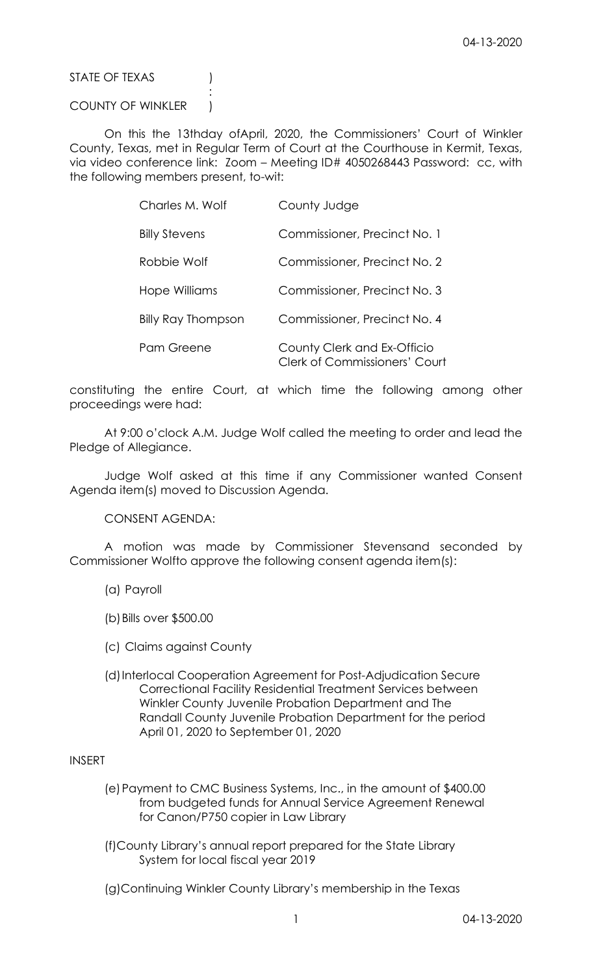STATE OF TEXAS (1)

## COUNTY OF WINKLER )

**Service State State State State** 

 On this the 13thday ofApril, 2020, the Commissioners' Court of Winkler County, Texas, met in Regular Term of Court at the Courthouse in Kermit, Texas, via video conference link: Zoom – Meeting ID# 4050268443 Password: cc, with the following members present, to-wit:

| Charles M. Wolf           | County Judge                                                        |
|---------------------------|---------------------------------------------------------------------|
| <b>Billy Stevens</b>      | Commissioner, Precinct No. 1                                        |
| Robbie Wolf               | Commissioner, Precinct No. 2                                        |
| Hope Williams             | Commissioner, Precinct No. 3                                        |
| <b>Billy Ray Thompson</b> | Commissioner, Precinct No. 4                                        |
| Pam Greene                | County Clerk and Ex-Officio<br><b>Clerk of Commissioners' Court</b> |

constituting the entire Court, at which time the following among other proceedings were had:

 At 9:00 o'clock A.M. Judge Wolf called the meeting to order and lead the Pledge of Allegiance.

 Judge Wolf asked at this time if any Commissioner wanted Consent Agenda item(s) moved to Discussion Agenda.

CONSENT AGENDA:

 A motion was made by Commissioner Stevensand seconded by Commissioner Wolfto approve the following consent agenda item(s):

- (a) Payroll
- (b)Bills over \$500.00
- (c) Claims against County
- (d)Interlocal Cooperation Agreement for Post-Adjudication Secure Correctional Facility Residential Treatment Services between Winkler County Juvenile Probation Department and The Randall County Juvenile Probation Department for the period April 01, 2020 to September 01, 2020

## INSERT

- (e)Payment to CMC Business Systems, Inc., in the amount of \$400.00 from budgeted funds for Annual Service Agreement Renewal for Canon/P750 copier in Law Library
- (f)County Library's annual report prepared for the State Library System for local fiscal year 2019

(g)Continuing Winkler County Library's membership in the Texas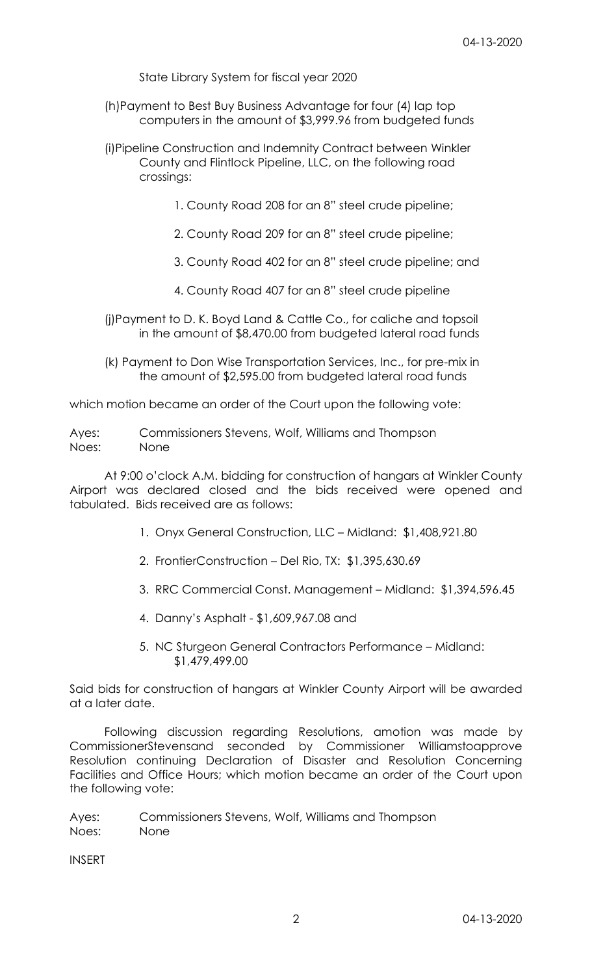State Library System for fiscal year 2020

- (h)Payment to Best Buy Business Advantage for four (4) lap top computers in the amount of \$3,999.96 from budgeted funds
- (i)Pipeline Construction and Indemnity Contract between Winkler County and Flintlock Pipeline, LLC, on the following road crossings:
	- 1. County Road 208 for an 8" steel crude pipeline;
	- 2. County Road 209 for an 8" steel crude pipeline;
	- 3. County Road 402 for an 8" steel crude pipeline; and
	- 4. County Road 407 for an 8" steel crude pipeline
- (j)Payment to D. K. Boyd Land & Cattle Co., for caliche and topsoil in the amount of \$8,470.00 from budgeted lateral road funds
- (k) Payment to Don Wise Transportation Services, Inc., for pre-mix in the amount of \$2,595.00 from budgeted lateral road funds

which motion became an order of the Court upon the following vote:

Ayes: Commissioners Stevens, Wolf, Williams and Thompson Noes: None

 At 9:00 o'clock A.M. bidding for construction of hangars at Winkler County Airport was declared closed and the bids received were opened and tabulated. Bids received are as follows:

- 1. Onyx General Construction, LLC Midland: \$1,408,921.80
- 2. FrontierConstruction Del Rio, TX: \$1,395,630.69
- 3. RRC Commercial Const. Management Midland: \$1,394,596.45
- 4. Danny's Asphalt \$1,609,967.08 and
- 5. NC Sturgeon General Contractors Performance Midland: \$1,479,499.00

Said bids for construction of hangars at Winkler County Airport will be awarded at a later date.

 Following discussion regarding Resolutions, amotion was made by CommissionerStevensand seconded by Commissioner Williamstoapprove Resolution continuing Declaration of Disaster and Resolution Concerning Facilities and Office Hours; which motion became an order of the Court upon the following vote:

Ayes: Commissioners Stevens, Wolf, Williams and Thompson Noes: None

INSERT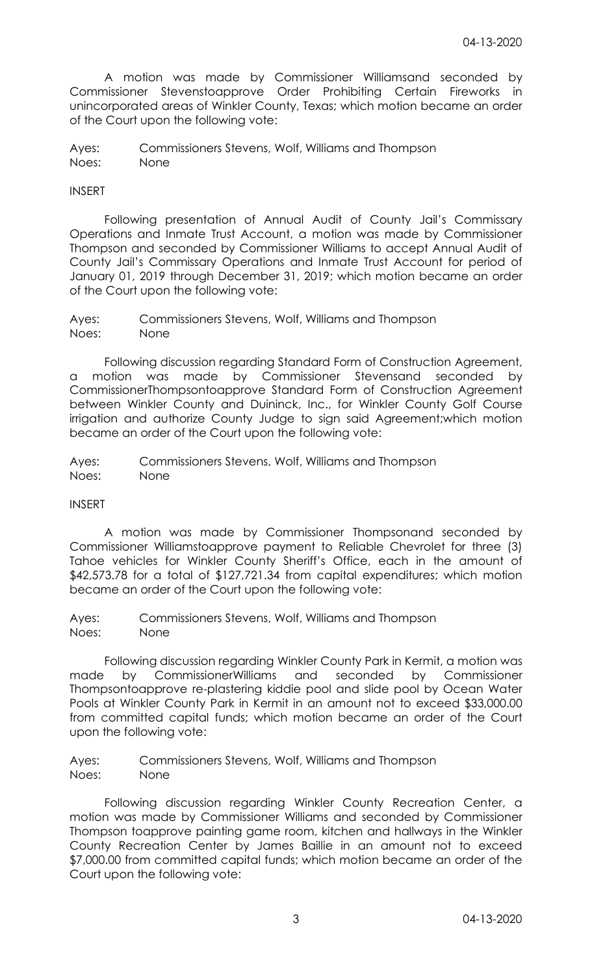A motion was made by Commissioner Williamsand seconded by Commissioner Stevenstoapprove Order Prohibiting Certain Fireworks in unincorporated areas of Winkler County, Texas; which motion became an order of the Court upon the following vote:

Ayes: Commissioners Stevens, Wolf, Williams and Thompson Noes: None

## INSERT

 Following presentation of Annual Audit of County Jail's Commissary Operations and Inmate Trust Account, a motion was made by Commissioner Thompson and seconded by Commissioner Williams to accept Annual Audit of County Jail's Commissary Operations and Inmate Trust Account for period of January 01, 2019 through December 31, 2019; which motion became an order of the Court upon the following vote:

Ayes: Commissioners Stevens, Wolf, Williams and Thompson Noes: None

 Following discussion regarding Standard Form of Construction Agreement, a motion was made by Commissioner Stevensand seconded by CommissionerThompsontoapprove Standard Form of Construction Agreement between Winkler County and Duininck, Inc., for Winkler County Golf Course irrigation and authorize County Judge to sign said Agreement;which motion became an order of the Court upon the following vote:

Ayes: Commissioners Stevens, Wolf, Williams and Thompson Noes: None

## INSERT

 A motion was made by Commissioner Thompsonand seconded by Commissioner Williamstoapprove payment to Reliable Chevrolet for three (3) Tahoe vehicles for Winkler County Sheriff's Office, each in the amount of \$42,573.78 for a total of \$127,721.34 from capital expenditures; which motion became an order of the Court upon the following vote:

Ayes: Commissioners Stevens, Wolf, Williams and Thompson Noes: None

 Following discussion regarding Winkler County Park in Kermit, a motion was made by CommissionerWilliams and seconded by Commissioner Thompsontoapprove re-plastering kiddie pool and slide pool by Ocean Water Pools at Winkler County Park in Kermit in an amount not to exceed \$33,000.00 from committed capital funds; which motion became an order of the Court upon the following vote:

Ayes: Commissioners Stevens, Wolf, Williams and Thompson Noes: None

 Following discussion regarding Winkler County Recreation Center, a motion was made by Commissioner Williams and seconded by Commissioner Thompson toapprove painting game room, kitchen and hallways in the Winkler County Recreation Center by James Baillie in an amount not to exceed \$7,000.00 from committed capital funds; which motion became an order of the Court upon the following vote: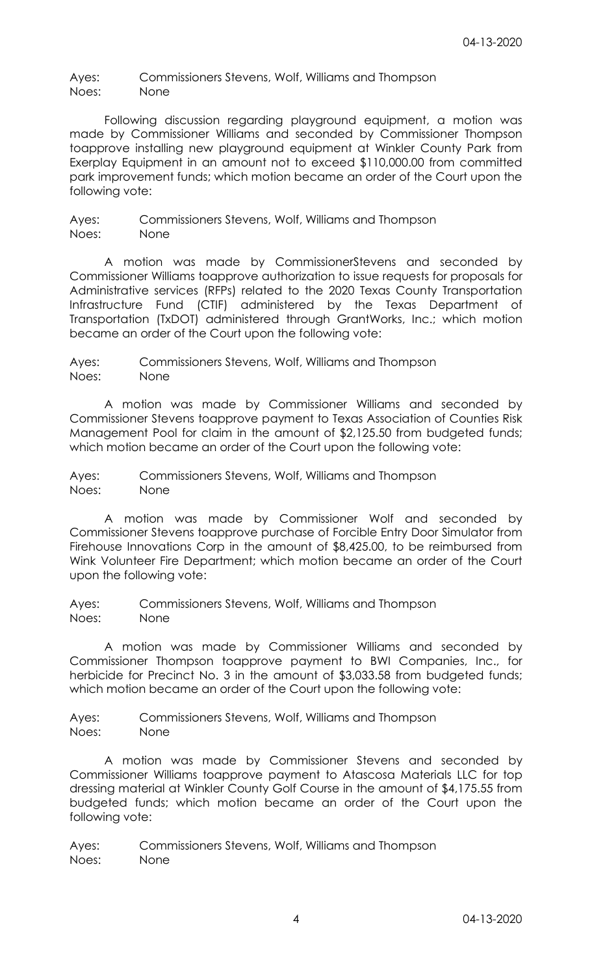Ayes: Commissioners Stevens, Wolf, Williams and Thompson Noes: None

 Following discussion regarding playground equipment, a motion was made by Commissioner Williams and seconded by Commissioner Thompson toapprove installing new playground equipment at Winkler County Park from Exerplay Equipment in an amount not to exceed \$110,000.00 from committed park improvement funds; which motion became an order of the Court upon the following vote:

Ayes: Commissioners Stevens, Wolf, Williams and Thompson Noes: None

 A motion was made by CommissionerStevens and seconded by Commissioner Williams toapprove authorization to issue requests for proposals for Administrative services (RFPs) related to the 2020 Texas County Transportation Infrastructure Fund (CTIF) administered by the Texas Department of Transportation (TxDOT) administered through GrantWorks, Inc.; which motion became an order of the Court upon the following vote:

Ayes: Commissioners Stevens, Wolf, Williams and Thompson Noes: None

 A motion was made by Commissioner Williams and seconded by Commissioner Stevens toapprove payment to Texas Association of Counties Risk Management Pool for claim in the amount of \$2,125.50 from budgeted funds; which motion became an order of the Court upon the following vote:

Ayes: Commissioners Stevens, Wolf, Williams and Thompson Noes: None

 A motion was made by Commissioner Wolf and seconded by Commissioner Stevens toapprove purchase of Forcible Entry Door Simulator from Firehouse Innovations Corp in the amount of \$8,425.00, to be reimbursed from Wink Volunteer Fire Department; which motion became an order of the Court upon the following vote:

Ayes: Commissioners Stevens, Wolf, Williams and Thompson Noes: None

 A motion was made by Commissioner Williams and seconded by Commissioner Thompson toapprove payment to BWI Companies, Inc., for herbicide for Precinct No. 3 in the amount of \$3,033.58 from budgeted funds; which motion became an order of the Court upon the following vote:

Ayes: Commissioners Stevens, Wolf, Williams and Thompson Noes: None

 A motion was made by Commissioner Stevens and seconded by Commissioner Williams toapprove payment to Atascosa Materials LLC for top dressing material at Winkler County Golf Course in the amount of \$4,175.55 from budgeted funds; which motion became an order of the Court upon the following vote:

Ayes: Commissioners Stevens, Wolf, Williams and Thompson Noes: None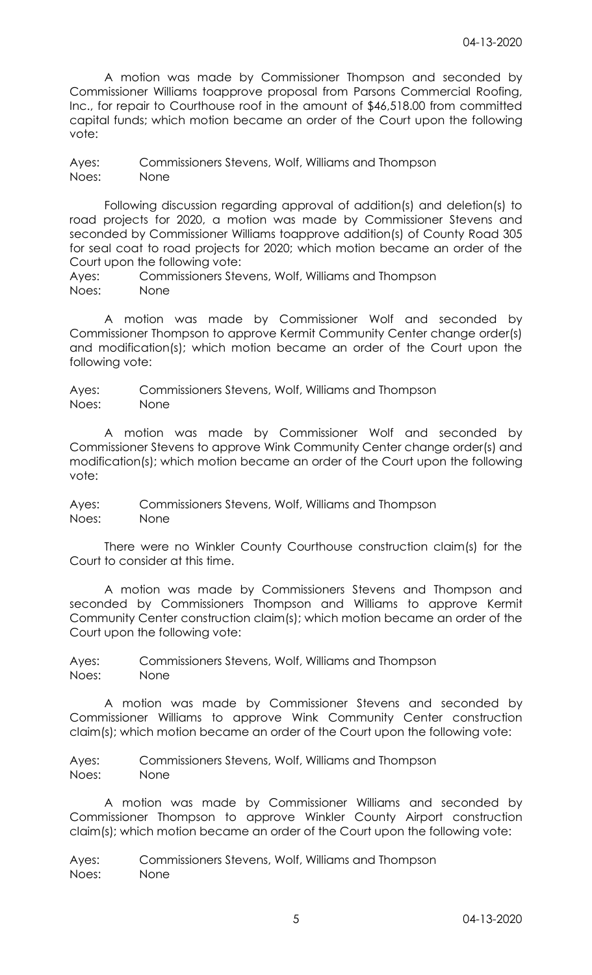A motion was made by Commissioner Thompson and seconded by Commissioner Williams toapprove proposal from Parsons Commercial Roofing, Inc., for repair to Courthouse roof in the amount of \$46,518.00 from committed capital funds; which motion became an order of the Court upon the following vote:

Ayes: Commissioners Stevens, Wolf, Williams and Thompson Noes: None

 Following discussion regarding approval of addition(s) and deletion(s) to road projects for 2020, a motion was made by Commissioner Stevens and seconded by Commissioner Williams toapprove addition(s) of County Road 305 for seal coat to road projects for 2020; which motion became an order of the Court upon the following vote:

Ayes: Commissioners Stevens, Wolf, Williams and Thompson Noes: None

 A motion was made by Commissioner Wolf and seconded by Commissioner Thompson to approve Kermit Community Center change order(s) and modification(s); which motion became an order of the Court upon the following vote:

Ayes: Commissioners Stevens, Wolf, Williams and Thompson Noes: None

 A motion was made by Commissioner Wolf and seconded by Commissioner Stevens to approve Wink Community Center change order(s) and modification(s); which motion became an order of the Court upon the following vote:

Ayes: Commissioners Stevens, Wolf, Williams and Thompson Noes: None

 There were no Winkler County Courthouse construction claim(s) for the Court to consider at this time.

 A motion was made by Commissioners Stevens and Thompson and seconded by Commissioners Thompson and Williams to approve Kermit Community Center construction claim(s); which motion became an order of the Court upon the following vote:

Ayes: Commissioners Stevens, Wolf, Williams and Thompson Noes: None

 A motion was made by Commissioner Stevens and seconded by Commissioner Williams to approve Wink Community Center construction claim(s); which motion became an order of the Court upon the following vote:

Ayes: Commissioners Stevens, Wolf, Williams and Thompson Noes: None

 A motion was made by Commissioner Williams and seconded by Commissioner Thompson to approve Winkler County Airport construction claim(s); which motion became an order of the Court upon the following vote:

Ayes: Commissioners Stevens, Wolf, Williams and Thompson Noes: None